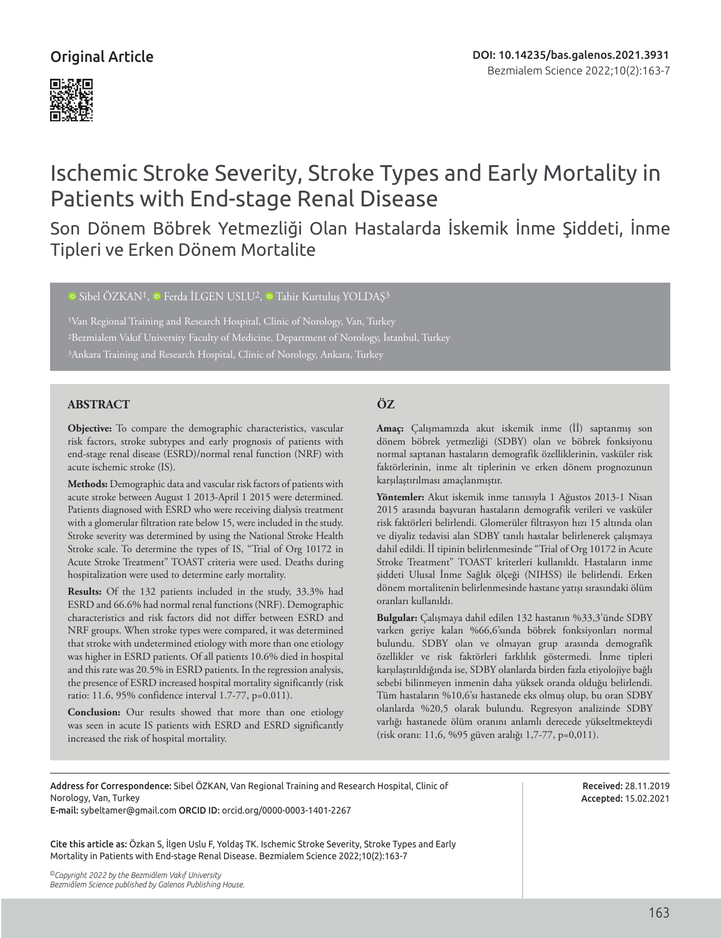## Original Article



# Ischemic Stroke Severity, Stroke Types and Early Mortality in Patients with End-stage Renal Disease

Son Dönem Böbrek Yetmezliği Olan Hastalarda İskemik İnme Şiddeti, İnme Tipleri ve Erken Dönem Mortalite

<sup>D</sup>Sibel ÖZKAN<sup>1</sup>, <sup>D</sup> Ferda İLGEN USLU<sup>2</sup>, <sup>D</sup> Tahir Kurtulus YOLDAS<sup>3</sup>

<sup>1</sup>Van Regional Training and Research Hospital, Clinic of Norology, Van, Turkey 2Bezmialem Vakıf University Faculty of Medicine, Department of Norology, İstanbul, Turkey 3Ankara Training and Research Hospital, Clinic of Norology, Ankara, Turkey

#### **ABSTRACT ÖZ**

**Objective:** To compare the demographic characteristics, vascular risk factors, stroke subtypes and early prognosis of patients with end-stage renal disease (ESRD)/normal renal function (NRF) with acute ischemic stroke (IS).

**Methods:** Demographic data and vascular risk factors of patients with acute stroke between August 1 2013-April 1 2015 were determined. Patients diagnosed with ESRD who were receiving dialysis treatment with a glomerular filtration rate below 15, were included in the study. Stroke severity was determined by using the National Stroke Health Stroke scale. To determine the types of IS, "Trial of Org 10172 in Acute Stroke Treatment" TOAST criteria were used. Deaths during hospitalization were used to determine early mortality.

**Results:** Of the 132 patients included in the study, 33.3% had ESRD and 66.6% had normal renal functions (NRF). Demographic characteristics and risk factors did not differ between ESRD and NRF groups. When stroke types were compared, it was determined that stroke with undetermined etiology with more than one etiology was higher in ESRD patients. Of all patients 10.6% died in hospital and this rate was 20.5% in ESRD patients. In the regression analysis, the presence of ESRD increased hospital mortality significantly (risk ratio: 11.6, 95% confidence interval 1.7-77, p=0.011).

**Conclusion:** Our results showed that more than one etiology was seen in acute IS patients with ESRD and ESRD significantly increased the risk of hospital mortality.

**Amaç:** Çalışmamızda akut iskemik inme (İİ) saptanmış son dönem böbrek yetmezliği (SDBY) olan ve böbrek fonksiyonu normal saptanan hastaların demografik özelliklerinin, vasküler risk faktörlerinin, inme alt tiplerinin ve erken dönem prognozunun karşılaştırılması amaçlanmıştır.

**Yöntemler:** Akut iskemik inme tanısıyla 1 Ağustos 2013-1 Nisan 2015 arasında başvuran hastaların demografik verileri ve vasküler risk faktörleri belirlendi. Glomerüler filtrasyon hızı 15 altında olan ve diyaliz tedavisi alan SDBY tanılı hastalar belirlenerek çalışmaya dahil edildi. İİ tipinin belirlenmesinde "Trial of Org 10172 in Acute Stroke Treatment" TOAST kriterleri kullanıldı. Hastaların inme şiddeti Ulusal İnme Sağlık ölçeği (NIHSS) ile belirlendi. Erken dönem mortalitenin belirlenmesinde hastane yatışı sırasındaki ölüm oranları kullanıldı.

**Bulgular:** Çalışmaya dahil edilen 132 hastanın %33,3'ünde SDBY varken geriye kalan %66,6'sında böbrek fonksiyonları normal bulundu. SDBY olan ve olmayan grup arasında demografik özellikler ve risk faktörleri farklılık göstermedi. İnme tipleri karşılaştırıldığında ise, SDBY olanlarda birden fazla etiyolojiye bağlı sebebi bilinmeyen inmenin daha yüksek oranda olduğu belirlendi. Tüm hastaların %10,6'sı hastanede eks olmuş olup, bu oran SDBY olanlarda %20,5 olarak bulundu. Regresyon analizinde SDBY varlığı hastanede ölüm oranını anlamlı derecede yükseltmekteydi (risk oranı: 11,6, %95 güven aralığı 1,7-77, p=0,011).

Address for Correspondence: Sibel ÖZKAN, Van Regional Training and Research Hospital, Clinic of Norology, Van, Turkey

E-mail: sybeltamer@gmail.com ORCID ID: orcid.org/0000-0003-1401-2267

Cite this article as: Özkan S, İlgen Uslu F, Yoldaş TK. Ischemic Stroke Severity, Stroke Types and Early Mortality in Patients with End-stage Renal Disease. Bezmialem Science 2022;10(2):163-7

Received: 28.11.2019 Accepted: 15.02.2021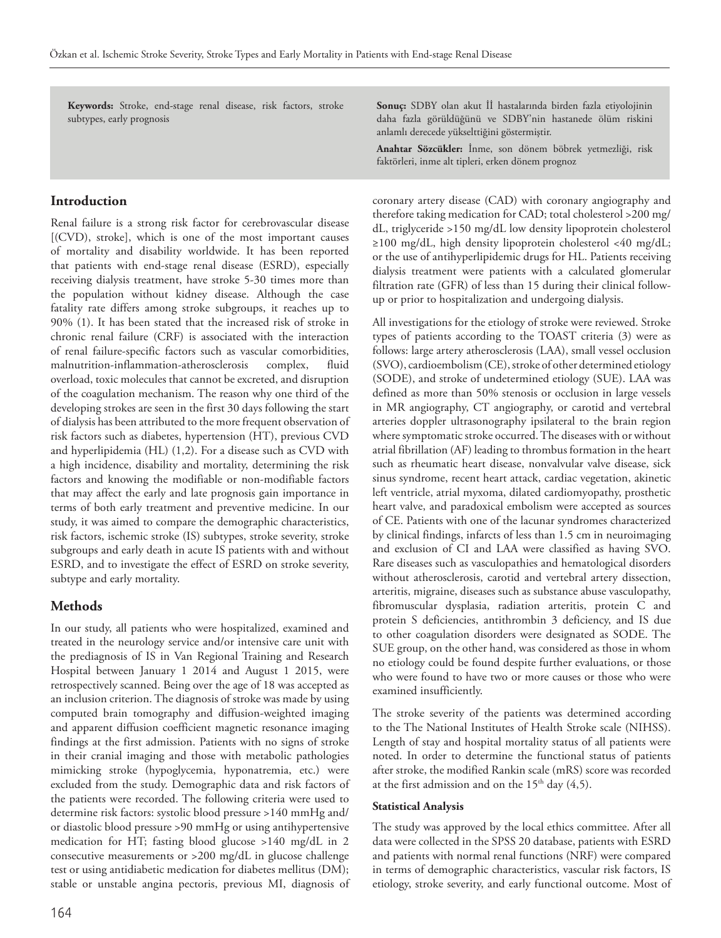**Keywords:** Stroke, end-stage renal disease, risk factors, stroke subtypes, early prognosis

#### **Introduction**

Renal failure is a strong risk factor for cerebrovascular disease [(CVD), stroke], which is one of the most important causes of mortality and disability worldwide. It has been reported that patients with end-stage renal disease (ESRD), especially receiving dialysis treatment, have stroke 5-30 times more than the population without kidney disease. Although the case fatality rate differs among stroke subgroups, it reaches up to 90% (1). It has been stated that the increased risk of stroke in chronic renal failure (CRF) is associated with the interaction of renal failure-specific factors such as vascular comorbidities, malnutrition-inflammation-atherosclerosis complex, fluid overload, toxic molecules that cannot be excreted, and disruption of the coagulation mechanism. The reason why one third of the developing strokes are seen in the first 30 days following the start of dialysis has been attributed to the more frequent observation of risk factors such as diabetes, hypertension (HT), previous CVD and hyperlipidemia (HL) (1,2). For a disease such as CVD with a high incidence, disability and mortality, determining the risk factors and knowing the modifiable or non-modifiable factors that may affect the early and late prognosis gain importance in terms of both early treatment and preventive medicine. In our study, it was aimed to compare the demographic characteristics, risk factors, ischemic stroke (IS) subtypes, stroke severity, stroke subgroups and early death in acute IS patients with and without ESRD, and to investigate the effect of ESRD on stroke severity, subtype and early mortality.

#### **Methods**

In our study, all patients who were hospitalized, examined and treated in the neurology service and/or intensive care unit with the prediagnosis of IS in Van Regional Training and Research Hospital between January 1 2014 and August 1 2015, were retrospectively scanned. Being over the age of 18 was accepted as an inclusion criterion. The diagnosis of stroke was made by using computed brain tomography and diffusion-weighted imaging and apparent diffusion coefficient magnetic resonance imaging findings at the first admission. Patients with no signs of stroke in their cranial imaging and those with metabolic pathologies mimicking stroke (hypoglycemia, hyponatremia, etc.) were excluded from the study. Demographic data and risk factors of the patients were recorded. The following criteria were used to determine risk factors: systolic blood pressure >140 mmHg and/ or diastolic blood pressure >90 mmHg or using antihypertensive medication for HT; fasting blood glucose >140 mg/dL in 2 consecutive measurements or >200 mg/dL in glucose challenge test or using antidiabetic medication for diabetes mellitus (DM); stable or unstable angina pectoris, previous MI, diagnosis of **Sonuç:** SDBY olan akut İİ hastalarında birden fazla etiyolojinin daha fazla görüldüğünü ve SDBY'nin hastanede ölüm riskini anlamlı derecede yükselttiğini göstermiştir.

**Anahtar Sözcükler:** İnme, son dönem böbrek yetmezliği, risk faktörleri, inme alt tipleri, erken dönem prognoz

coronary artery disease (CAD) with coronary angiography and therefore taking medication for CAD; total cholesterol >200 mg/ dL, triglyceride >150 mg/dL low density lipoprotein cholesterol ≥100 mg/dL, high density lipoprotein cholesterol <40 mg/dL; or the use of antihyperlipidemic drugs for HL. Patients receiving dialysis treatment were patients with a calculated glomerular filtration rate (GFR) of less than 15 during their clinical followup or prior to hospitalization and undergoing dialysis.

All investigations for the etiology of stroke were reviewed. Stroke types of patients according to the TOAST criteria (3) were as follows: large artery atherosclerosis (LAA), small vessel occlusion (SVO), cardioembolism (CE), stroke of other determined etiology (SODE), and stroke of undetermined etiology (SUE). LAA was defined as more than 50% stenosis or occlusion in large vessels in MR angiography, CT angiography, or carotid and vertebral arteries doppler ultrasonography ipsilateral to the brain region where symptomatic stroke occurred. The diseases with or without atrial fibrillation (AF) leading to thrombus formation in the heart such as rheumatic heart disease, nonvalvular valve disease, sick sinus syndrome, recent heart attack, cardiac vegetation, akinetic left ventricle, atrial myxoma, dilated cardiomyopathy, prosthetic heart valve, and paradoxical embolism were accepted as sources of CE. Patients with one of the lacunar syndromes characterized by clinical findings, infarcts of less than 1.5 cm in neuroimaging and exclusion of CI and LAA were classified as having SVO. Rare diseases such as vasculopathies and hematological disorders without atherosclerosis, carotid and vertebral artery dissection, arteritis, migraine, diseases such as substance abuse vasculopathy, fibromuscular dysplasia, radiation arteritis, protein C and protein S deficiencies, antithrombin 3 deficiency, and IS due to other coagulation disorders were designated as SODE. The SUE group, on the other hand, was considered as those in whom no etiology could be found despite further evaluations, or those who were found to have two or more causes or those who were examined insufficiently.

The stroke severity of the patients was determined according to the The National Institutes of Health Stroke scale (NIHSS). Length of stay and hospital mortality status of all patients were noted. In order to determine the functional status of patients after stroke, the modified Rankin scale (mRS) score was recorded at the first admission and on the  $15<sup>th</sup>$  day (4,5).

#### **Statistical Analysis**

The study was approved by the local ethics committee. After all data were collected in the SPSS 20 database, patients with ESRD and patients with normal renal functions (NRF) were compared in terms of demographic characteristics, vascular risk factors, IS etiology, stroke severity, and early functional outcome. Most of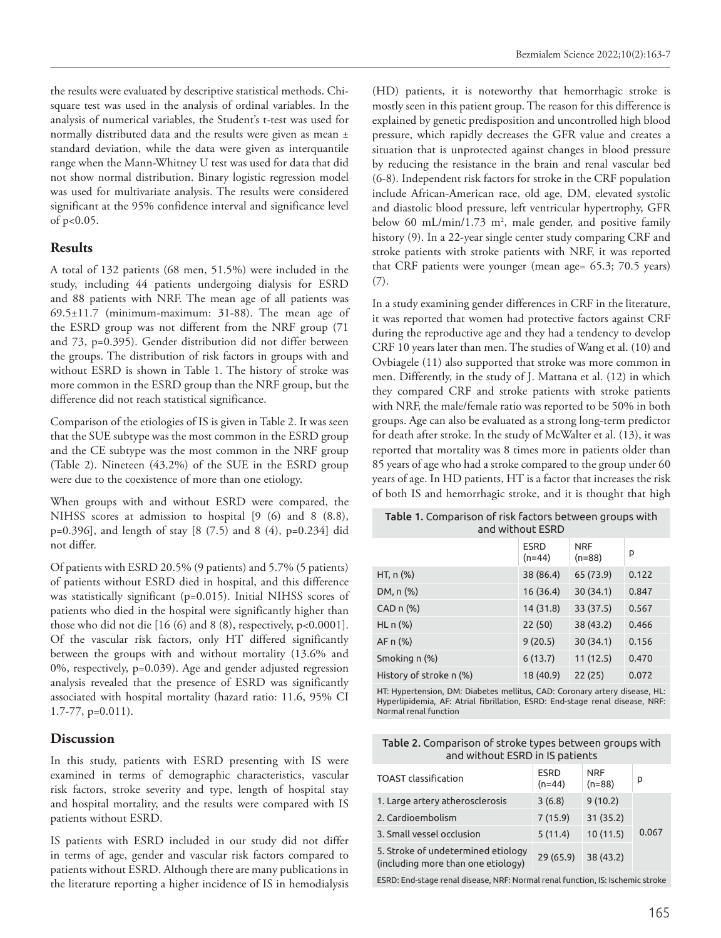the results were evaluated by descriptive statistical methods. Chisquare test was used in the analysis of ordinal variables. In the analysis of numerical variables, the Student's t-test was used for normally distributed data and the results were given as mean ± standard deviation, while the data were given as interquantile range when the Mann-Whitney U test was used for data that did not show normal distribution. Binary logistic regression model was used for multivariate analysis. The results were considered significant at the 95% confidence interval and significance level of p<0.05.

#### **Results**

A total of 132 patients (68 men, 51.5%) were included in the study, including 44 patients undergoing dialysis for ESRD and 88 patients with NRF. The mean age of all patients was 69.5±11.7 (minimum-maximum: 31-88). The mean age of the ESRD group was not different from the NRF group (71 and 73, p=0.395). Gender distribution did not differ between the groups. The distribution of risk factors in groups with and without ESRD is shown in Table 1. The history of stroke was more common in the ESRD group than the NRF group, but the difference did not reach statistical significance.

Comparison of the etiologies of IS is given in Table 2. It was seen that the SUE subtype was the most common in the ESRD group and the CE subtype was the most common in the NRF group (Table 2). Nineteen (43.2%) of the SUE in the ESRD group were due to the coexistence of more than one etiology.

When groups with and without ESRD were compared, the NIHSS scores at admission to hospital [9 (6) and 8 (8.8), p=0.396], and length of stay [8 (7.5) and 8 (4), p=0.234] did not differ.

Of patients with ESRD 20.5% (9 patients) and 5.7% (5 patients) of patients without ESRD died in hospital, and this difference was statistically significant (p=0.015). Initial NIHSS scores of patients who died in the hospital were significantly higher than those who did not die [16 (6) and 8 (8), respectively, p<0.0001]. Of the vascular risk factors, only HT differed significantly between the groups with and without mortality (13.6% and 0%, respectively, p=0.039). Age and gender adjusted regression analysis revealed that the presence of ESRD was significantly associated with hospital mortality (hazard ratio: 11.6, 95% CI 1.7-77, p=0.011).

#### **Discussion**

In this study, patients with ESRD presenting with IS were examined in terms of demographic characteristics, vascular risk factors, stroke severity and type, length of hospital stay and hospital mortality, and the results were compared with IS patients without ESRD.

IS patients with ESRD included in our study did not differ in terms of age, gender and vascular risk factors compared to patients without ESRD. Although there are many publications in the literature reporting a higher incidence of IS in hemodialysis (HD) patients, it is noteworthy that hemorrhagic stroke is mostly seen in this patient group. The reason for this difference is explained by genetic predisposition and uncontrolled high blood pressure, which rapidly decreases the GFR value and creates a situation that is unprotected against changes in blood pressure by reducing the resistance in the brain and renal vascular bed (6-8). Independent risk factors for stroke in the CRF population include African-American race, old age, DM, elevated systolic and diastolic blood pressure, left ventricular hypertrophy, GFR below 60 mL/min/1.73  $m^2$ , male gender, and positive family history (9). In a 22-year single center study comparing CRF and stroke patients with stroke patients with NRF, it was reported that CRF patients were younger (mean age= 65.3; 70.5 years) (7).

In a study examining gender differences in CRF in the literature, it was reported that women had protective factors against CRF during the reproductive age and they had a tendency to develop CRF 10 years later than men. The studies of Wang et al. (10) and Ovbiagele (11) also supported that stroke was more common in men. Differently, in the study of J. Mattana et al. (12) in which they compared CRF and stroke patients with stroke patients with NRF, the male/female ratio was reported to be 50% in both groups. Age can also be evaluated as a strong long-term predictor for death after stroke. In the study of McWalter et al. (13), it was reported that mortality was 8 times more in patients older than 85 years of age who had a stroke compared to the group under 60 years of age. In HD patients, HT is a factor that increases the risk of both IS and hemorrhagic stroke, and it is thought that high

Table 1. Comparison of risk factors between groups with and without ESRD

|                          | <b>ESRD</b><br>$(n=44)$ | <b>NRF</b><br>$(n=88)$ | p     |
|--------------------------|-------------------------|------------------------|-------|
| HT, $n$ (%)              | 38 (86.4)               | 65 (73.9)              | 0.122 |
| DM, n (%)                | 16(36.4)                | 30(34.1)               | 0.847 |
| $CAD n (\%)$             | 14 (31.8)               | 33 (37.5)              | 0.567 |
| $HL \nightharpoonup (*)$ | 22(50)                  | 38 (43.2)              | 0.466 |
| AF n (%)                 | 9(20.5)                 | 30(34.1)               | 0.156 |
| Smoking n (%)            | 6(13.7)                 | 11(12.5)               | 0.470 |
| History of stroke n (%)  | 18 (40.9)               | 22(25)                 | 0.072 |

HT: Hypertension, DM: Diabetes mellitus, CAD: Coronary artery disease, HL: Hyperlipidemia, AF: Atrial fibrillation, ESRD: End-stage renal disease, NRF: Normal renal function

| Table 2. Comparison of stroke types between groups with |
|---------------------------------------------------------|
| and without ESRD in IS patients                         |

| <b>TOAST</b> classification                                              | <b>ESRD</b><br>$(n=44)$ | <b>NRF</b><br>$(n=88)$ | р     |
|--------------------------------------------------------------------------|-------------------------|------------------------|-------|
| 1. Large artery atherosclerosis                                          | 3(6.8)                  | 9(10.2)                |       |
| 2. Cardioembolism                                                        | 7(15.9)                 | 31(35.2)               |       |
| 3. Small vessel occlusion                                                | 5(11.4)                 | 10(11.5)               | 0.067 |
| 5. Stroke of undetermined etiology<br>(including more than one etiology) | $29(65.9)$ 38 (43.2)    |                        |       |
|                                                                          |                         |                        |       |

ESRD: End-stage renal disease, NRF: Normal renal function, IS: Ischemic stroke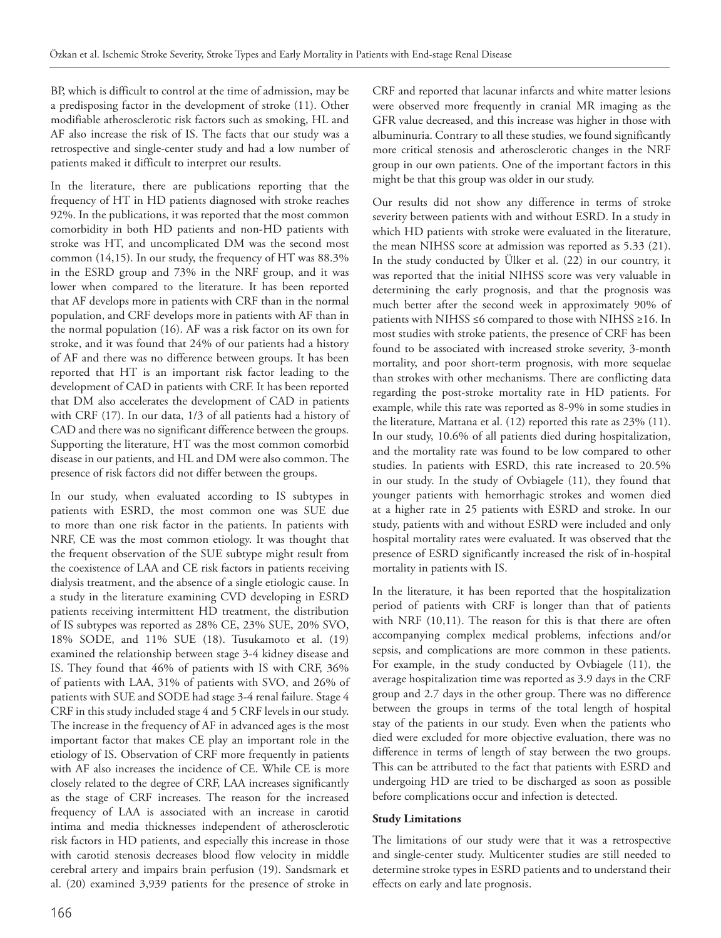BP, which is difficult to control at the time of admission, may be a predisposing factor in the development of stroke (11). Other modifiable atherosclerotic risk factors such as smoking, HL and AF also increase the risk of IS. The facts that our study was a retrospective and single-center study and had a low number of patients maked it difficult to interpret our results.

In the literature, there are publications reporting that the frequency of HT in HD patients diagnosed with stroke reaches 92%. In the publications, it was reported that the most common comorbidity in both HD patients and non-HD patients with stroke was HT, and uncomplicated DM was the second most common (14,15). In our study, the frequency of HT was 88.3% in the ESRD group and 73% in the NRF group, and it was lower when compared to the literature. It has been reported that AF develops more in patients with CRF than in the normal population, and CRF develops more in patients with AF than in the normal population (16). AF was a risk factor on its own for stroke, and it was found that 24% of our patients had a history of AF and there was no difference between groups. It has been reported that HT is an important risk factor leading to the development of CAD in patients with CRF. It has been reported that DM also accelerates the development of CAD in patients with CRF (17). In our data, 1/3 of all patients had a history of CAD and there was no significant difference between the groups. Supporting the literature, HT was the most common comorbid disease in our patients, and HL and DM were also common. The presence of risk factors did not differ between the groups.

In our study, when evaluated according to IS subtypes in patients with ESRD, the most common one was SUE due to more than one risk factor in the patients. In patients with NRF, CE was the most common etiology. It was thought that the frequent observation of the SUE subtype might result from the coexistence of LAA and CE risk factors in patients receiving dialysis treatment, and the absence of a single etiologic cause. In a study in the literature examining CVD developing in ESRD patients receiving intermittent HD treatment, the distribution of IS subtypes was reported as 28% CE, 23% SUE, 20% SVO, 18% SODE, and 11% SUE (18). Tusukamoto et al. (19) examined the relationship between stage 3-4 kidney disease and IS. They found that 46% of patients with IS with CRF, 36% of patients with LAA, 31% of patients with SVO, and 26% of patients with SUE and SODE had stage 3-4 renal failure. Stage 4 CRF in this study included stage 4 and 5 CRF levels in our study. The increase in the frequency of AF in advanced ages is the most important factor that makes CE play an important role in the etiology of IS. Observation of CRF more frequently in patients with AF also increases the incidence of CE. While CE is more closely related to the degree of CRF, LAA increases significantly as the stage of CRF increases. The reason for the increased frequency of LAA is associated with an increase in carotid intima and media thicknesses independent of atherosclerotic risk factors in HD patients, and especially this increase in those with carotid stenosis decreases blood flow velocity in middle cerebral artery and impairs brain perfusion (19). Sandsmark et al. (20) examined 3,939 patients for the presence of stroke in

CRF and reported that lacunar infarcts and white matter lesions were observed more frequently in cranial MR imaging as the GFR value decreased, and this increase was higher in those with albuminuria. Contrary to all these studies, we found significantly more critical stenosis and atherosclerotic changes in the NRF group in our own patients. One of the important factors in this might be that this group was older in our study.

Our results did not show any difference in terms of stroke severity between patients with and without ESRD. In a study in which HD patients with stroke were evaluated in the literature, the mean NIHSS score at admission was reported as 5.33 (21). In the study conducted by Ülker et al. (22) in our country, it was reported that the initial NIHSS score was very valuable in determining the early prognosis, and that the prognosis was much better after the second week in approximately 90% of patients with NIHSS ≤6 compared to those with NIHSS ≥16. In most studies with stroke patients, the presence of CRF has been found to be associated with increased stroke severity, 3-month mortality, and poor short-term prognosis, with more sequelae than strokes with other mechanisms. There are conflicting data regarding the post-stroke mortality rate in HD patients. For example, while this rate was reported as 8-9% in some studies in the literature, Mattana et al. (12) reported this rate as 23% (11). In our study, 10.6% of all patients died during hospitalization, and the mortality rate was found to be low compared to other studies. In patients with ESRD, this rate increased to 20.5% in our study. In the study of Ovbiagele (11), they found that younger patients with hemorrhagic strokes and women died at a higher rate in 25 patients with ESRD and stroke. In our study, patients with and without ESRD were included and only hospital mortality rates were evaluated. It was observed that the presence of ESRD significantly increased the risk of in-hospital mortality in patients with IS.

In the literature, it has been reported that the hospitalization period of patients with CRF is longer than that of patients with NRF (10,11). The reason for this is that there are often accompanying complex medical problems, infections and/or sepsis, and complications are more common in these patients. For example, in the study conducted by Ovbiagele (11), the average hospitalization time was reported as 3.9 days in the CRF group and 2.7 days in the other group. There was no difference between the groups in terms of the total length of hospital stay of the patients in our study. Even when the patients who died were excluded for more objective evaluation, there was no difference in terms of length of stay between the two groups. This can be attributed to the fact that patients with ESRD and undergoing HD are tried to be discharged as soon as possible before complications occur and infection is detected.

#### **Study Limitations**

The limitations of our study were that it was a retrospective and single-center study. Multicenter studies are still needed to determine stroke types in ESRD patients and to understand their effects on early and late prognosis.